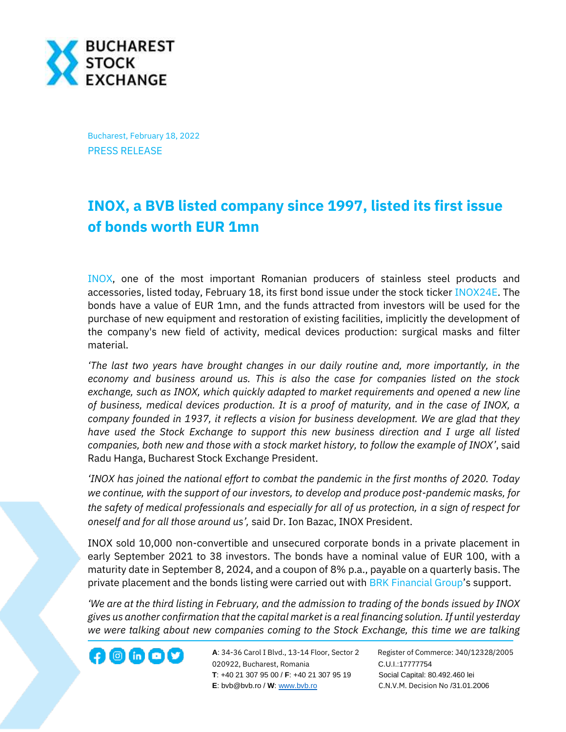

Bucharest, February 18, 2022 PRESS RELEASE

## **INOX, a BVB listed company since 1997, listed its first issue of bonds worth EUR 1mn**

[INOX,](https://bvb.ro/FinancialInstruments/Details/FinancialInstrumentsDetails.aspx?s=inox) one of the most important Romanian producers of stainless steel products and accessories, listed today, February 18, its first bond issue under the stock ticker [INOX24E.](https://bvb.ro/FinancialInstruments/Details/FinancialInstrumentsDetails.aspx?s=INOX24E) The bonds have a value of EUR 1mn, and the funds attracted from investors will be used for the purchase of new equipment and restoration of existing facilities, implicitly the development of the company's new field of activity, medical devices production: surgical masks and filter material.

*'The last two years have brought changes in our daily routine and, more importantly, in the economy and business around us. This is also the case for companies listed on the stock exchange, such as INOX, which quickly adapted to market requirements and opened a new line of business, medical devices production. It is a proof of maturity, and in the case of INOX, a company founded in 1937, it reflects a vision for business development. We are glad that they have used the Stock Exchange to support this new business direction and I urge all listed companies, both new and those with a stock market history, to follow the example of INOX'*, said Radu Hanga, Bucharest Stock Exchange President.

*'INOX has joined the national effort to combat the pandemic in the first months of 2020. Today we continue, with the support of our investors, to develop and produce post-pandemic masks, for the safety of medical professionals and especially for all of us protection, in a sign of respect for oneself and for all those around us',* said Dr. Ion Bazac, INOX President.

INOX sold 10,000 non-convertible and unsecured corporate bonds in a private placement in early September 2021 to 38 investors. The bonds have a nominal value of EUR 100, with a maturity date in September 8, 2024, and a coupon of 8% p.a., payable on a quarterly basis. The private placement and the bonds listing were carried out with [BRK Financial Group](http://www.brk.ro/)'s support.

*'We are at the third listing in February, and the admission to trading of the bonds issued by INOX gives us another confirmation that the capital market is a real financing solution. If until yesterday we were talking about new companies coming to the Stock Exchange, this time we are talking* 

**A**: 34-36 Carol I Blvd., 13-14 Floor, Sector 2 Register of Commerce: J40/12328/2005 **1200 CD CD CONF** A: 34-36 Carol I Blvd., 13-14 Floor, Sector 2 Register of Comm<br>020922, Bucharest, Romania C.U.I.:17777754  **T**: +40 21 307 95 00 / **F**: +40 21 307 95 19 Social Capital: 80.492.460 lei **E**: bvb@bvb.ro / **W**[: www.bvb.ro](http://www.bvb.ro/) C.N.V.M. Decision No /31.01.2006